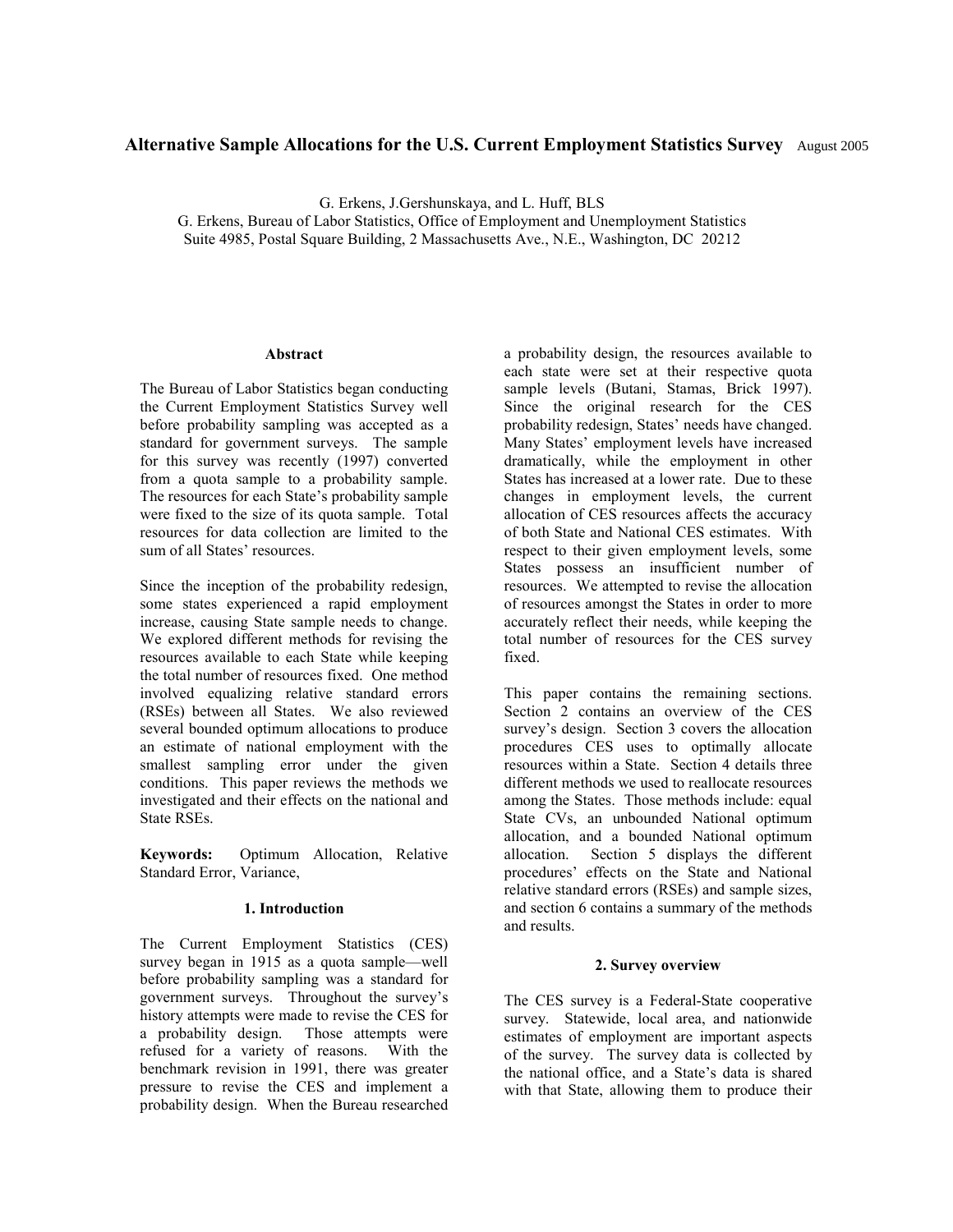# **Alternative Sample Allocations for the U.S. Current Employment Statistics Survey** August 2005

G. Erkens, J.Gershunskaya, and L. Huff, BLS

G. Erkens, Bureau of Labor Statistics, Office of Employment and Unemployment Statistics Suite 4985, Postal Square Building, 2 Massachusetts Ave., N.E., Washington, DC 20212

#### **Abstract**

The Bureau of Labor Statistics began conducting the Current Employment Statistics Survey well before probability sampling was accepted as a standard for government surveys. The sample for this survey was recently (1997) converted from a quota sample to a probability sample. The resources for each State's probability sample were fixed to the size of its quota sample. Total resources for data collection are limited to the sum of all States' resources.

Since the inception of the probability redesign, some states experienced a rapid employment increase, causing State sample needs to change. We explored different methods for revising the resources available to each State while keeping the total number of resources fixed. One method involved equalizing relative standard errors (RSEs) between all States. We also reviewed several bounded optimum allocations to produce an estimate of national employment with the smallest sampling error under the given conditions. This paper reviews the methods we investigated and their effects on the national and State RSEs.

**Keywords:** Optimum Allocation, Relative Standard Error, Variance,

## **1. Introduction**

The Current Employment Statistics (CES) survey began in 1915 as a quota sample—well before probability sampling was a standard for government surveys. Throughout the survey's history attempts were made to revise the CES for a probability design. Those attempts were refused for a variety of reasons. With the benchmark revision in 1991, there was greater pressure to revise the CES and implement a probability design. When the Bureau researched

a probability design, the resources available to each state were set at their respective quota sample levels (Butani, Stamas, Brick 1997). Since the original research for the CES probability redesign, States' needs have changed. Many States' employment levels have increased dramatically, while the employment in other States has increased at a lower rate. Due to these changes in employment levels, the current allocation of CES resources affects the accuracy of both State and National CES estimates. With respect to their given employment levels, some States possess an insufficient number of resources. We attempted to revise the allocation of resources amongst the States in order to more accurately reflect their needs, while keeping the total number of resources for the CES survey fixed.

This paper contains the remaining sections. Section 2 contains an overview of the CES survey's design. Section 3 covers the allocation procedures CES uses to optimally allocate resources within a State. Section 4 details three different methods we used to reallocate resources among the States. Those methods include: equal State CVs, an unbounded National optimum allocation, and a bounded National optimum allocation. Section 5 displays the different procedures' effects on the State and National relative standard errors (RSEs) and sample sizes, and section 6 contains a summary of the methods and results.

## **2. Survey overview**

The CES survey is a Federal-State cooperative survey. Statewide, local area, and nationwide estimates of employment are important aspects of the survey. The survey data is collected by the national office, and a State's data is shared with that State, allowing them to produce their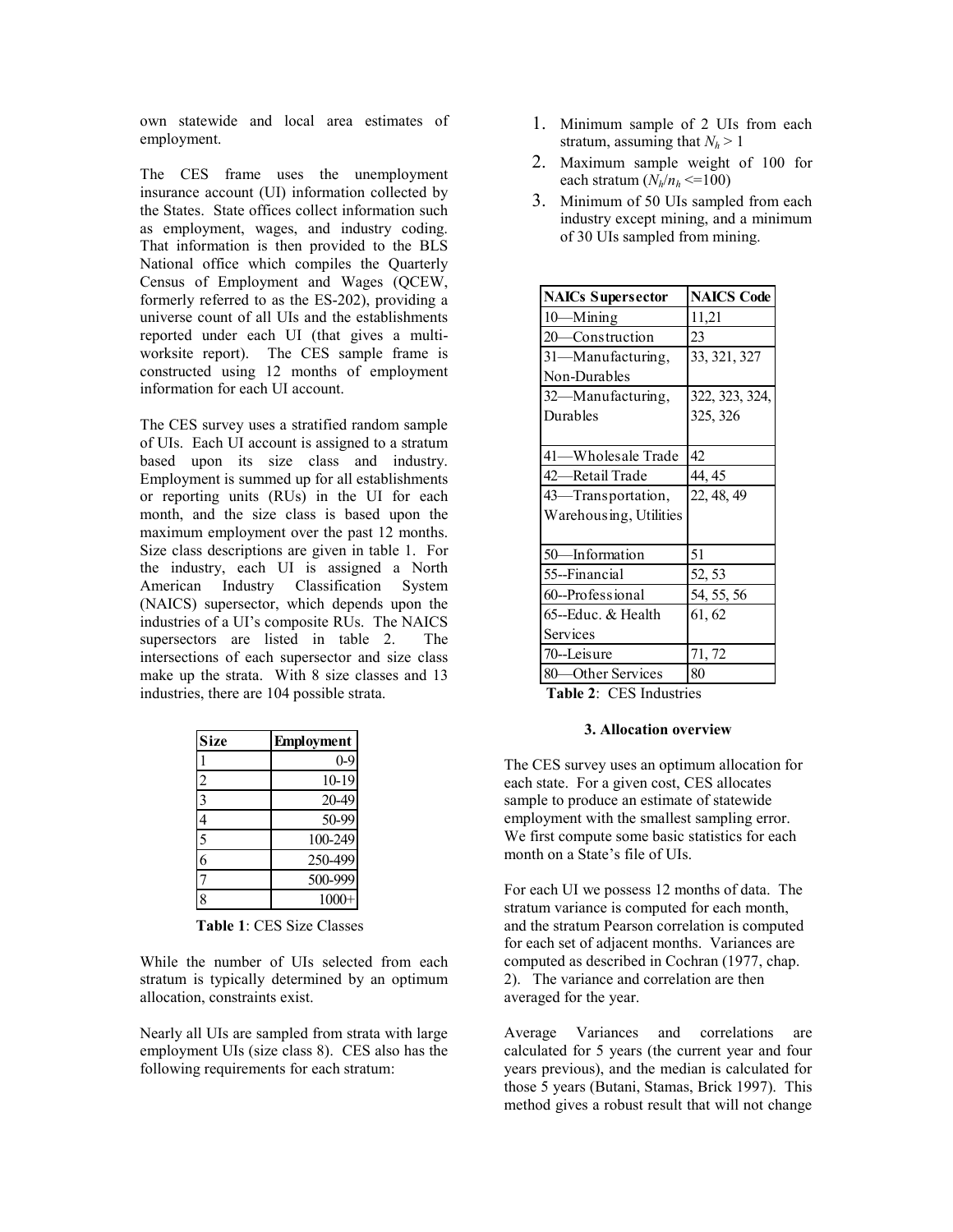own statewide and local area estimates of employment.

The CES frame uses the unemployment insurance account (UI) information collected by the States. State offices collect information such as employment, wages, and industry coding. That information is then provided to the BLS National office which compiles the Quarterly Census of Employment and Wages (QCEW, formerly referred to as the ES-202), providing a universe count of all UIs and the establishments reported under each UI (that gives a multiworksite report). The CES sample frame is constructed using 12 months of employment information for each UI account.

The CES survey uses a stratified random sample of UIs. Each UI account is assigned to a stratum based upon its size class and industry. Employment is summed up for all establishments or reporting units (RUs) in the UI for each month, and the size class is based upon the maximum employment over the past 12 months. Size class descriptions are given in table 1. For the industry, each UI is assigned a North American Industry Classification System (NAICS) supersector, which depends upon the industries of a UI's composite RUs. The NAICS supersectors are listed in table 2. The intersections of each supersector and size class make up the strata. With 8 size classes and 13 industries, there are 104 possible strata.

| <b>Size</b>                 | <b>Employment</b> |  |  |  |  |
|-----------------------------|-------------------|--|--|--|--|
|                             | $0 - 9$           |  |  |  |  |
|                             | 10-19             |  |  |  |  |
| $rac{2}{3}$                 | 20-49             |  |  |  |  |
|                             | 50-99             |  |  |  |  |
| $\frac{4}{5}$ $\frac{5}{6}$ | 100-249           |  |  |  |  |
|                             | 250-499           |  |  |  |  |
| 7                           | 500-999           |  |  |  |  |
| ġ                           | 1000              |  |  |  |  |

**Table 1**: CES Size Classes

While the number of UIs selected from each stratum is typically determined by an optimum allocation, constraints exist.

Nearly all UIs are sampled from strata with large employment UIs (size class 8). CES also has the following requirements for each stratum:

- 1. Minimum sample of 2 UIs from each stratum, assuming that  $N_h > 1$
- 2. Maximum sample weight of 100 for each stratum  $(N_h/n_h \leq 100)$
- 3. Minimum of 50 UIs sampled from each industry except mining, and a minimum of 30 UIs sampled from mining.

| <b>NAICs Supersector</b> | <b>NAICS Code</b> |  |  |  |
|--------------------------|-------------------|--|--|--|
| 10-Mining                | 11,21             |  |  |  |
| 20—Construction          | 23                |  |  |  |
| 31-Manufacturing,        | 33, 321, 327      |  |  |  |
| Non-Durables             |                   |  |  |  |
| 32-Manufacturing,        | 322, 323, 324,    |  |  |  |
| Durables                 | 325, 326          |  |  |  |
|                          |                   |  |  |  |
| 41—Wholesale Trade       | 42                |  |  |  |
| 42—Retail Trade          | 44, 45            |  |  |  |
| 43—Transportation,       | 22, 48, 49        |  |  |  |
| Warehousing, Utilities   |                   |  |  |  |
|                          |                   |  |  |  |
| 50-Information           | 51                |  |  |  |
| 55--Financial            | 52, 53            |  |  |  |
| 60--Professional         | 54, 55, 56        |  |  |  |
| 65--Educ. & Health       | 61, 62            |  |  |  |
| Services                 |                   |  |  |  |
| 70-Leisure               | 71, 72            |  |  |  |
| 80-Other Services        | 80                |  |  |  |

**Table 2**: CES Industries

## **3. Allocation overview**

The CES survey uses an optimum allocation for each state. For a given cost, CES allocates sample to produce an estimate of statewide employment with the smallest sampling error. We first compute some basic statistics for each month on a State's file of UIs.

For each UI we possess 12 months of data. The stratum variance is computed for each month, and the stratum Pearson correlation is computed for each set of adjacent months. Variances are computed as described in Cochran (1977, chap. 2). The variance and correlation are then averaged for the year.

Average Variances and correlations are calculated for 5 years (the current year and four years previous), and the median is calculated for those 5 years (Butani, Stamas, Brick 1997). This method gives a robust result that will not change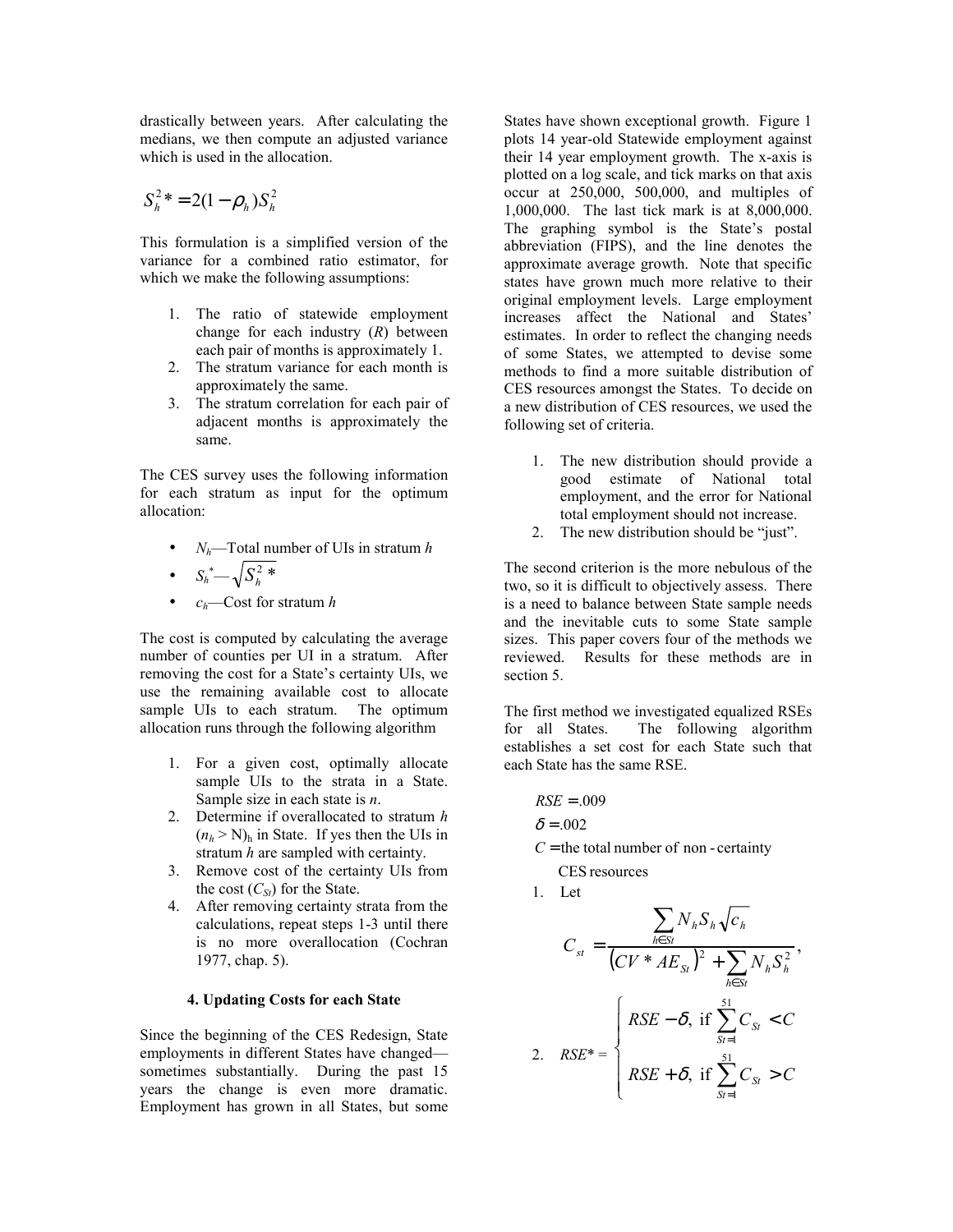drastically between years. After calculating the medians, we then compute an adjusted variance which is used in the allocation.

$$
S_h^2{}^* = 2(1 - \rho_h)S_h^2
$$

This formulation is a simplified version of the variance for a combined ratio estimator, for which we make the following assumptions:

- 1. The ratio of statewide employment change for each industry (*R*) between each pair of months is approximately 1.
- 2. The stratum variance for each month is approximately the same.
- 3. The stratum correlation for each pair of adjacent months is approximately the same.

The CES survey uses the following information for each stratum as input for the optimum allocation:

• *Nh*—Total number of UIs in stratum *h* •  $S_h^*$   $\sqrt{S_h^2}$  \*

• 
$$
c_h
$$
—Cost for stratum *h*

The cost is computed by calculating the average number of counties per UI in a stratum. After removing the cost for a State's certainty UIs, we use the remaining available cost to allocate sample UIs to each stratum. The optimum allocation runs through the following algorithm

- 1. For a given cost, optimally allocate sample UIs to the strata in a State. Sample size in each state is *n*.
- 2. Determine if overallocated to stratum *h*  $(n_h > N)$ <sub>h</sub> in State. If yes then the UIs in stratum *h* are sampled with certainty.
- 3. Remove cost of the certainty UIs from the cost  $(C_{St})$  for the State.
- 4. After removing certainty strata from the calculations, repeat steps 1-3 until there is no more overallocation (Cochran 1977, chap. 5).

## **4. Updating Costs for each State**

Since the beginning of the CES Redesign, State employments in different States have changed sometimes substantially. During the past 15 years the change is even more dramatic. Employment has grown in all States, but some States have shown exceptional growth. Figure 1 plots 14 year-old Statewide employment against their 14 year employment growth. The x-axis is plotted on a log scale, and tick marks on that axis occur at 250,000, 500,000, and multiples of 1,000,000. The last tick mark is at 8,000,000. The graphing symbol is the State's postal abbreviation (FIPS), and the line denotes the approximate average growth. Note that specific states have grown much more relative to their original employment levels. Large employment increases affect the National and States' estimates. In order to reflect the changing needs of some States, we attempted to devise some methods to find a more suitable distribution of CES resources amongst the States. To decide on a new distribution of CES resources, we used the following set of criteria.

- 1. The new distribution should provide a good estimate of National total employment, and the error for National total employment should not increase.
- 2. The new distribution should be "just".

The second criterion is the more nebulous of the two, so it is difficult to objectively assess. There is a need to balance between State sample needs and the inevitable cuts to some State sample sizes. This paper covers four of the methods we reviewed. Results for these methods are in section 5.

The first method we investigated equalized RSEs for all States. The following algorithm establishes a set cost for each State such that each State has the same RSE.

$$
RSE=.009
$$

$$
\delta = .002
$$

 $C$  = the total number of non - certainty

CES resources

1. Let  
\n
$$
C_{st} = \frac{\sum_{h \in St} N_h S_h \sqrt{c_h}}{(CV * AE_{St})^2 + \sum_{h \in St} N_h S_h^2},
$$
\n2. 
$$
RSE^* = \begin{cases} RSE - \delta, \text{ if } \sum_{s=1}^{51} C_{St} < C \\ RSE + \delta, \text{ if } \sum_{s=1}^{51} C_{St} > C \end{cases}
$$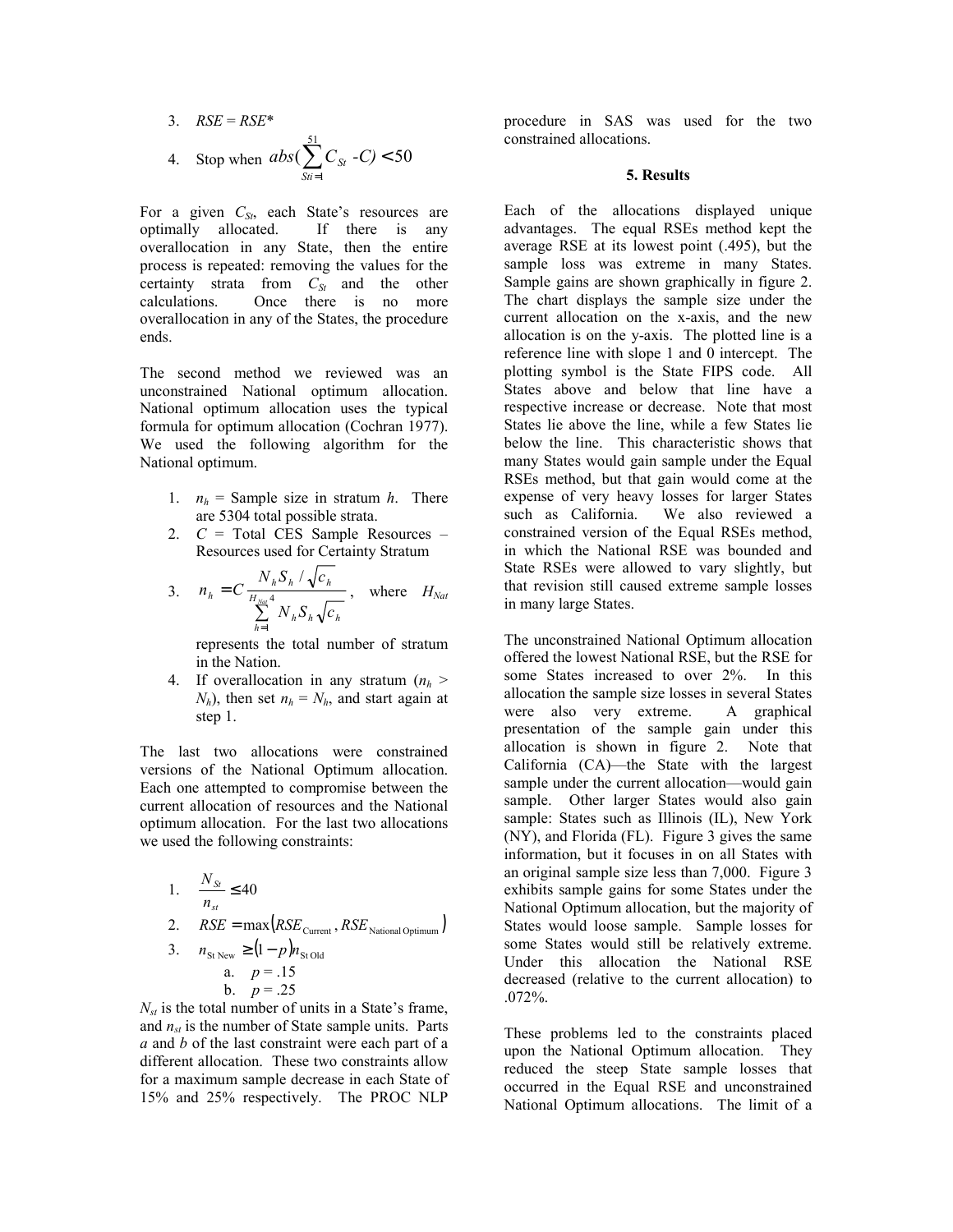3. 
$$
RSE = RSE^*
$$
  
4. Stop when  $abs(\sum_{Sti=1}^{51} C_{St} - C) < 50$ 

For a given C<sub>St</sub>, each State's resources are optimally allocated. If there is any overallocation in any State, then the entire process is repeated: removing the values for the certainty strata from  $C_{St}$  and the other calculations. Once there is no more overallocation in any of the States, the procedure ends.

The second method we reviewed was an unconstrained National optimum allocation. National optimum allocation uses the typical formula for optimum allocation (Cochran 1977). We used the following algorithm for the National optimum.

- 1.  $n_h$  = Sample size in stratum *h*. There are 5304 total possible strata.
- 2. *C* = Total CES Sample Resources Resources used for Certainty Stratum

3. 
$$
n_h = C \frac{N_h S_h / \sqrt{c_h}}{\sum_{h=1}^{H_{Nat}} N_h S_h \sqrt{c_h}}, \text{ where } H_{Nat}
$$

represents the total number of stratum in the Nation.

4. If overallocation in any stratum  $(n<sub>h</sub>)$  $N_h$ ), then set  $n_h = N_h$ , and start again at step 1.

The last two allocations were constrained versions of the National Optimum allocation. Each one attempted to compromise between the current allocation of resources and the National optimum allocation. For the last two allocations we used the following constraints:

1. 
$$
\frac{N_{St}}{n_{st}} \le 40
$$
  
2. 
$$
RSE = \max(RSE_{\text{Current}}, RSE_{\text{National Optimum}})
$$

3. 
$$
n_{\text{St New}} \ge (1-p)n_{\text{St Old}}
$$
  
a.  $p = .15$   
b.  $p = .25$ 

 $N_{st}$  is the total number of units in a State's frame, and  $n_{st}$  is the number of State sample units. Parts *a* and *b* of the last constraint were each part of a different allocation. These two constraints allow for a maximum sample decrease in each State of 15% and 25% respectively. The PROC NLP

procedure in SAS was used for the two constrained allocations.

#### **5. Results**

Each of the allocations displayed unique advantages. The equal RSEs method kept the average RSE at its lowest point (.495), but the sample loss was extreme in many States. Sample gains are shown graphically in figure 2. The chart displays the sample size under the current allocation on the x-axis, and the new allocation is on the y-axis. The plotted line is a reference line with slope 1 and 0 intercept. The plotting symbol is the State FIPS code. All States above and below that line have a respective increase or decrease. Note that most States lie above the line, while a few States lie below the line. This characteristic shows that many States would gain sample under the Equal RSEs method, but that gain would come at the expense of very heavy losses for larger States such as California. We also reviewed a constrained version of the Equal RSEs method, in which the National RSE was bounded and State RSEs were allowed to vary slightly, but that revision still caused extreme sample losses in many large States.

The unconstrained National Optimum allocation offered the lowest National RSE, but the RSE for some States increased to over 2%. In this allocation the sample size losses in several States were also very extreme. A graphical presentation of the sample gain under this allocation is shown in figure 2. Note that California (CA)—the State with the largest sample under the current allocation—would gain sample. Other larger States would also gain sample: States such as Illinois (IL), New York (NY), and Florida (FL). Figure 3 gives the same information, but it focuses in on all States with an original sample size less than 7,000. Figure 3 exhibits sample gains for some States under the National Optimum allocation, but the majority of States would loose sample. Sample losses for some States would still be relatively extreme. Under this allocation the National RSE decreased (relative to the current allocation) to .072%.

These problems led to the constraints placed upon the National Optimum allocation. They reduced the steep State sample losses that occurred in the Equal RSE and unconstrained National Optimum allocations. The limit of a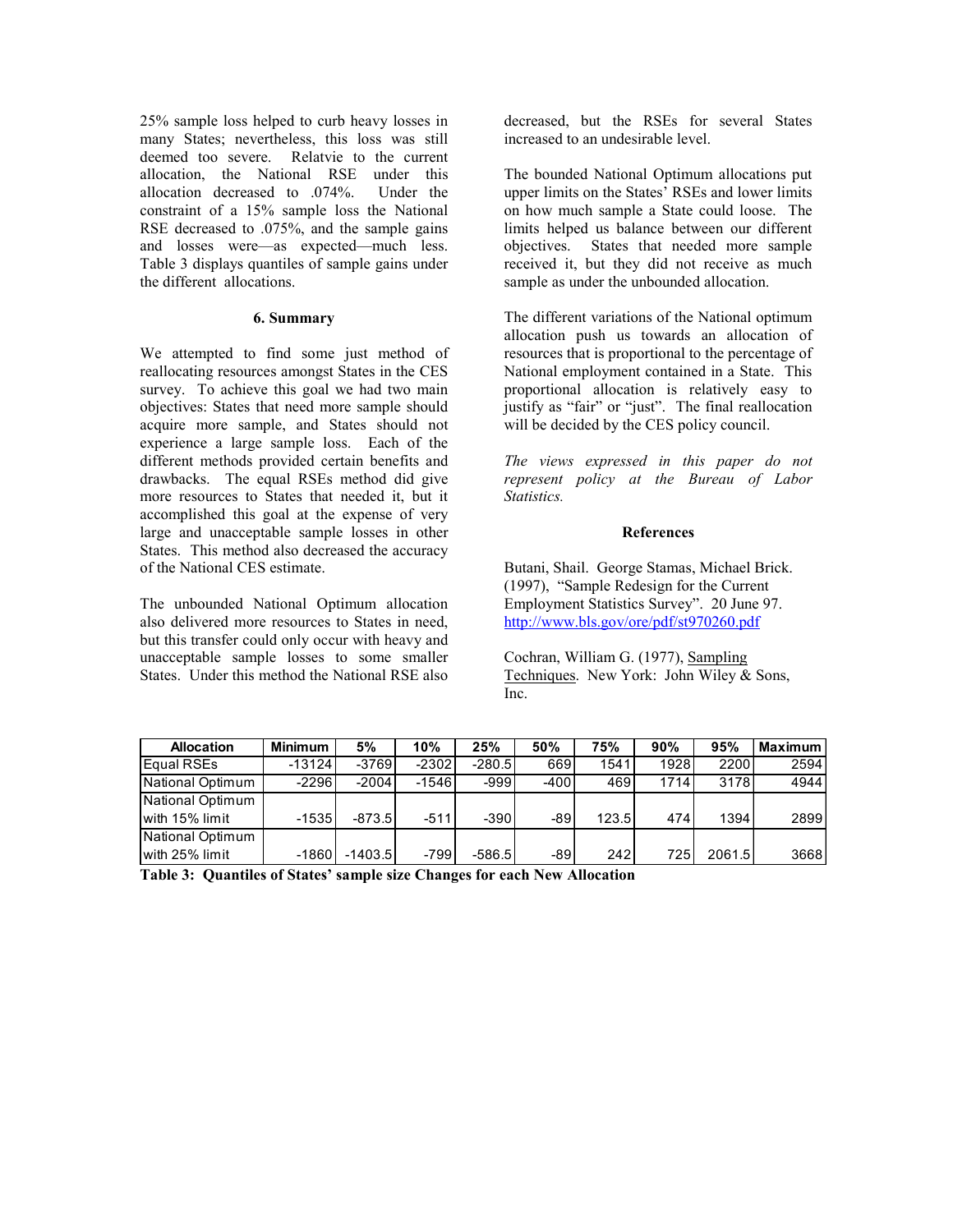25% sample loss helped to curb heavy losses in many States; nevertheless, this loss was still deemed too severe. Relatvie to the current allocation, the National RSE under this allocation decreased to .074%. Under the constraint of a 15% sample loss the National RSE decreased to .075%, and the sample gains and losses were—as expected—much less. Table 3 displays quantiles of sample gains under the different allocations.

## **6. Summary**

We attempted to find some just method of reallocating resources amongst States in the CES survey. To achieve this goal we had two main objectives: States that need more sample should acquire more sample, and States should not experience a large sample loss. Each of the different methods provided certain benefits and drawbacks. The equal RSEs method did give more resources to States that needed it, but it accomplished this goal at the expense of very large and unacceptable sample losses in other States. This method also decreased the accuracy of the National CES estimate.

The unbounded National Optimum allocation also delivered more resources to States in need, but this transfer could only occur with heavy and unacceptable sample losses to some smaller States. Under this method the National RSE also

decreased, but the RSEs for several States increased to an undesirable level.

The bounded National Optimum allocations put upper limits on the States' RSEs and lower limits on how much sample a State could loose. The limits helped us balance between our different objectives. States that needed more sample received it, but they did not receive as much sample as under the unbounded allocation.

The different variations of the National optimum allocation push us towards an allocation of resources that is proportional to the percentage of National employment contained in a State. This proportional allocation is relatively easy to justify as "fair" or "just". The final reallocation will be decided by the CES policy council.

*The views expressed in this paper do not represent policy at the Bureau of Labor Statistics.* 

#### **References**

Butani, Shail. George Stamas, Michael Brick. (1997), "Sample Redesign for the Current Employment Statistics Survey". 20 June 97. http://www.bls.gov/ore/pdf/st970260.pdf

Cochran, William G. (1977), Sampling Techniques. New York: John Wiley & Sons, Inc.

| <b>Allocation</b> | <b>Minimum</b> | 5%        | 10%     | 25%      | 50%    | 75%   | 90%  | 95%    | <b>Maximum</b> |
|-------------------|----------------|-----------|---------|----------|--------|-------|------|--------|----------------|
| Equal RSEs        | $-13124$       | $-3769$   | $-2302$ | $-280.5$ | 669    | 1541  | 1928 | 2200   | 2594           |
| National Optimum  | $-2296$        | $-2004$   | $-1546$ | $-999$   | $-400$ | 469   | 1714 | 3178   | 4944           |
| National Optimum  |                |           |         |          |        |       |      |        |                |
| with 15% limit    | $-1535$        | -873.51   | $-511$  | $-390$   | -89    | 123.5 | 474  | 1394   | 2899           |
| National Optimum  |                |           |         |          |        |       |      |        |                |
| with 25% limit    | $-1860$        | $-1403.5$ | $-799$  | -586.5   | $-89$  | 242   | 725  | 2061.5 | 3668           |

**Table 3: Quantiles of States' sample size Changes for each New Allocation**